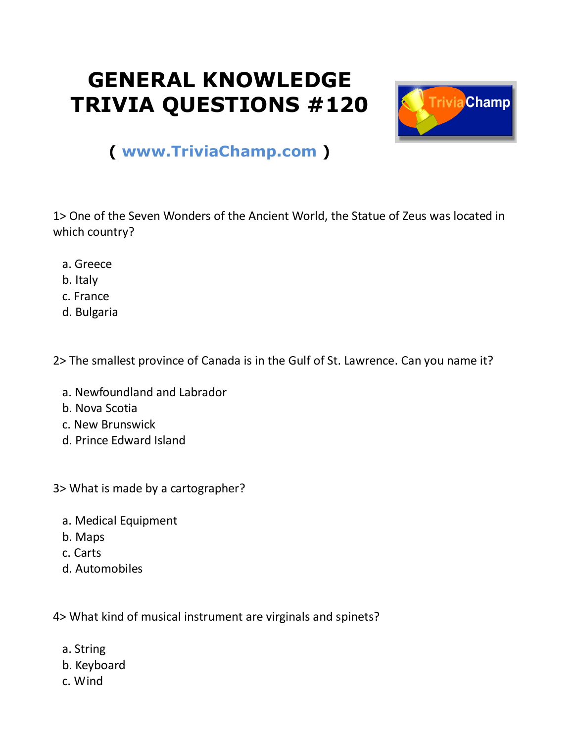## **GENERAL KNOWLEDGE TRIVIA QUESTIONS #120**



## **( [www.TriviaChamp.com](http://www.triviachamp.com/) )**

1> One of the Seven Wonders of the Ancient World, the Statue of Zeus was located in which country?

- a. Greece
- b. Italy
- c. France
- d. Bulgaria

2> The smallest province of Canada is in the Gulf of St. Lawrence. Can you name it?

- a. Newfoundland and Labrador
- b. Nova Scotia
- c. New Brunswick
- d. Prince Edward Island

3> What is made by a cartographer?

- a. Medical Equipment
- b. Maps
- c. Carts
- d. Automobiles

4> What kind of musical instrument are virginals and spinets?

- a. String
- b. Keyboard
- c. Wind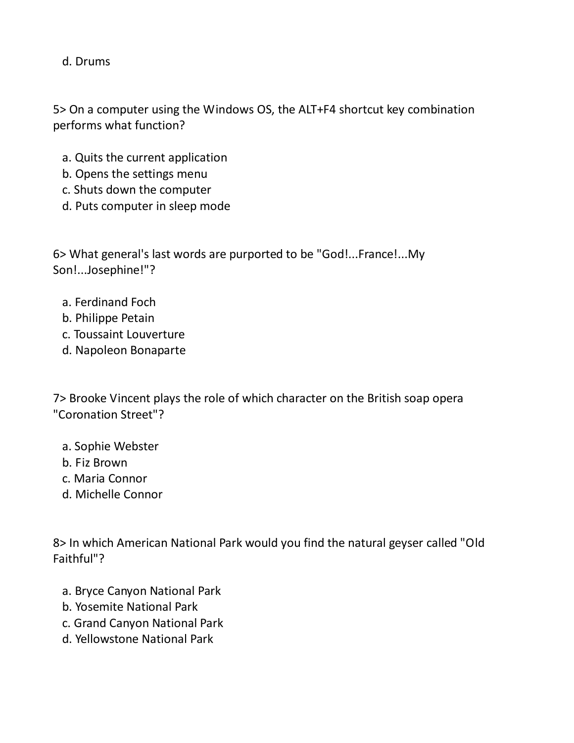d. Drums

5> On a computer using the Windows OS, the ALT+F4 shortcut key combination performs what function?

- a. Quits the current application
- b. Opens the settings menu
- c. Shuts down the computer
- d. Puts computer in sleep mode

6> What general's last words are purported to be "God!...France!...My Son!...Josephine!"?

- a. Ferdinand Foch
- b. Philippe Petain
- c. Toussaint Louverture
- d. Napoleon Bonaparte

7> Brooke Vincent plays the role of which character on the British soap opera "Coronation Street"?

- a. Sophie Webster
- b. Fiz Brown
- c. Maria Connor
- d. Michelle Connor

8> In which American National Park would you find the natural geyser called "Old Faithful"?

- a. Bryce Canyon National Park
- b. Yosemite National Park
- c. Grand Canyon National Park
- d. Yellowstone National Park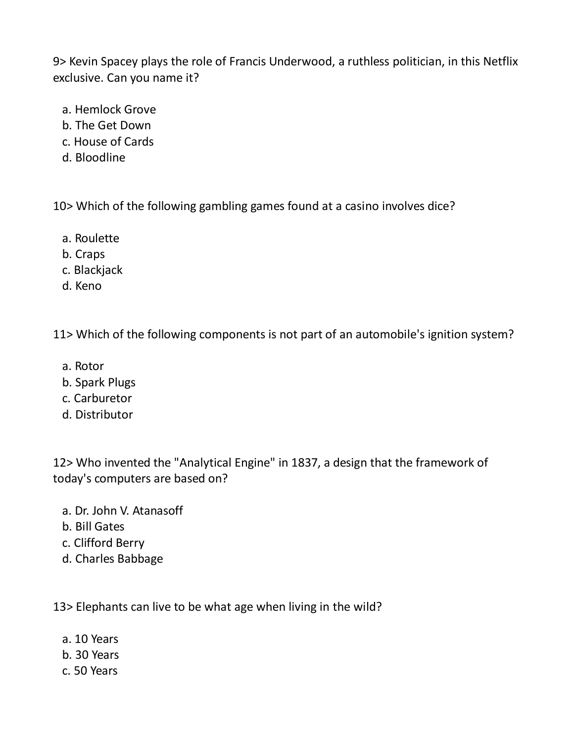9> Kevin Spacey plays the role of Francis Underwood, a ruthless politician, in this Netflix exclusive. Can you name it?

- a. Hemlock Grove
- b. The Get Down
- c. House of Cards
- d. Bloodline

10> Which of the following gambling games found at a casino involves dice?

- a. Roulette
- b. Craps
- c. Blackjack
- d. Keno

11> Which of the following components is not part of an automobile's ignition system?

- a. Rotor
- b. Spark Plugs
- c. Carburetor
- d. Distributor

12> Who invented the "Analytical Engine" in 1837, a design that the framework of today's computers are based on?

- a. Dr. John V. Atanasoff
- b. Bill Gates
- c. Clifford Berry
- d. Charles Babbage

13> Elephants can live to be what age when living in the wild?

- a. 10 Years
- b. 30 Years
- c. 50 Years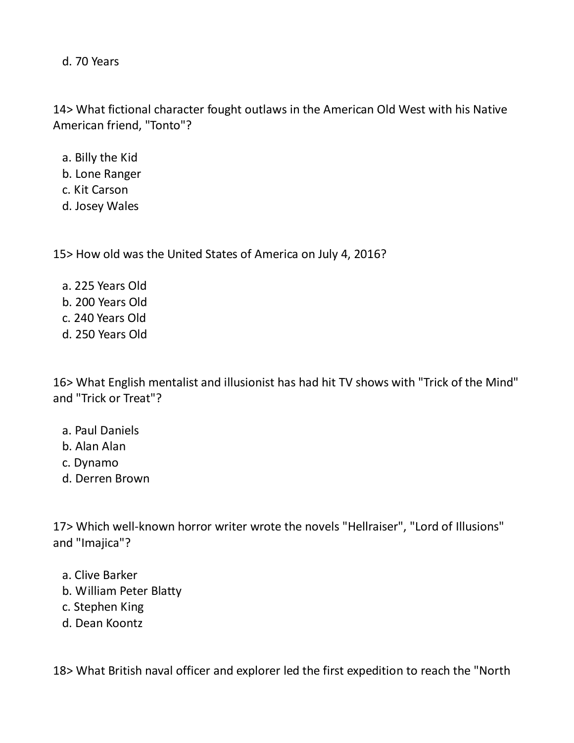d. 70 Years

14> What fictional character fought outlaws in the American Old West with his Native American friend, "Tonto"?

- a. Billy the Kid
- b. Lone Ranger
- c. Kit Carson
- d. Josey Wales

15> How old was the United States of America on July 4, 2016?

 a. 225 Years Old b. 200 Years Old c. 240 Years Old d. 250 Years Old

16> What English mentalist and illusionist has had hit TV shows with "Trick of the Mind" and "Trick or Treat"?

- a. Paul Daniels
- b. Alan Alan
- c. Dynamo
- d. Derren Brown

17> Which well-known horror writer wrote the novels "Hellraiser", "Lord of Illusions" and "Imajica"?

- a. Clive Barker
- b. William Peter Blatty
- c. Stephen King
- d. Dean Koontz

18> What British naval officer and explorer led the first expedition to reach the "North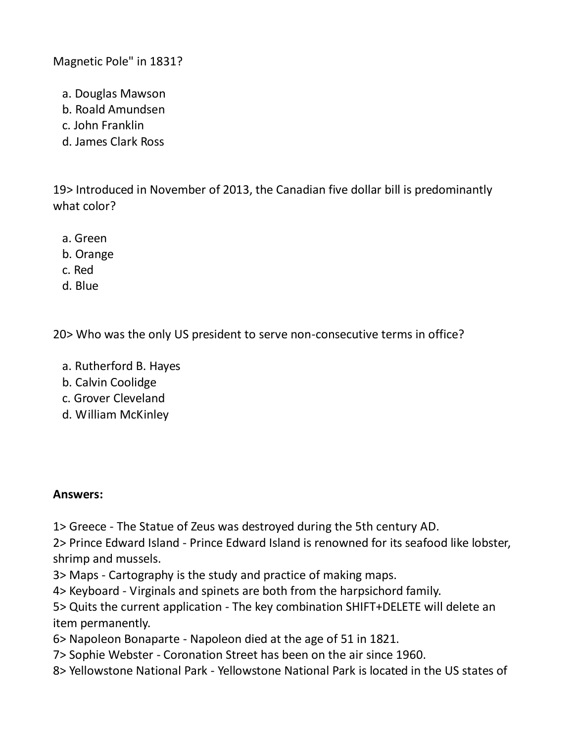Magnetic Pole" in 1831?

- a. Douglas Mawson
- b. Roald Amundsen
- c. John Franklin
- d. James Clark Ross

19> Introduced in November of 2013, the Canadian five dollar bill is predominantly what color?

- a. Green
- b. Orange
- c. Red
- d. Blue

20> Who was the only US president to serve non-consecutive terms in office?

- a. Rutherford B. Hayes
- b. Calvin Coolidge
- c. Grover Cleveland
- d. William McKinley

## **Answers:**

1> Greece - The Statue of Zeus was destroyed during the 5th century AD.

2> Prince Edward Island - Prince Edward Island is renowned for its seafood like lobster, shrimp and mussels.

3> Maps - Cartography is the study and practice of making maps.

4> Keyboard - Virginals and spinets are both from the harpsichord family.

5> Quits the current application - The key combination SHIFT+DELETE will delete an item permanently.

6> Napoleon Bonaparte - Napoleon died at the age of 51 in 1821.

- 7> Sophie Webster Coronation Street has been on the air since 1960.
- 8> Yellowstone National Park Yellowstone National Park is located in the US states of